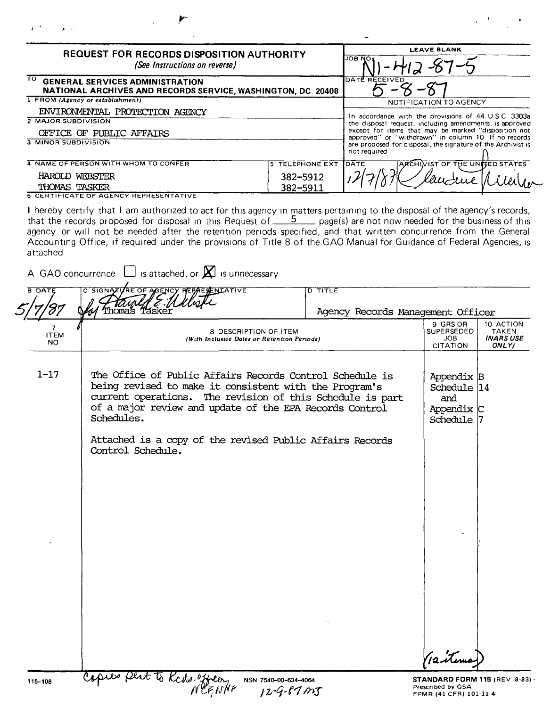| <b>REQUEST FOR RECORDS DISPOSITION AUTHORITY</b><br>(See Instructions on reverse)                 |                        | <b>LEAVE BLANK</b><br>JOB NO.                                                                                                       |  |
|---------------------------------------------------------------------------------------------------|------------------------|-------------------------------------------------------------------------------------------------------------------------------------|--|
| TO GENERAL SERVICES ADMINISTRATION<br>NATIONAL ARCHIVES AND RECORDS SERVICE, WASHINGTON, DC 20408 |                        | DATE RECEIVED                                                                                                                       |  |
| 1 FROM (Agency or establishment)                                                                  |                        | NOTIFICATION TO AGENCY                                                                                                              |  |
| ENVIRONMENTAL PROTECTION AGENCY                                                                   |                        | In accordance with the provisions of 44 USC 3303a                                                                                   |  |
| 2 MAJOR SUBDIVISION                                                                               |                        | the disposal request, including amendments, is approved                                                                             |  |
| OFFICE OF PUBLIC AFFAIRS                                                                          |                        | except for items that may be marked "disposition not                                                                                |  |
| <b>3 MINOR SUBDIVISION</b>                                                                        |                        | approved" or "withdrawn" in column 10 If no records<br>are proposed for disposal, the signature of the Archivist is<br>not required |  |
| 4 NAME OF PERSON WITH WHOM TO CONFER                                                              | <b>5 TELEPHONE EXT</b> | ARCHIVIST OF THE UNITED STATES<br>DATE                                                                                              |  |
| HAROLD<br>WEBSTER                                                                                 | 382-5912               |                                                                                                                                     |  |
| THOMAS TASKER                                                                                     | 382-5911               |                                                                                                                                     |  |

I hereby certify that I am authorized to act for this agency in matters pertaining to the disposal of the agency's records, that the records proposed for disposal in this Request of  $\frac{5}{2}$  page(s) are not now needed for the business of this agency or will not be needed after the retention periods specified, and that written concurrence from the Genera Accounting Office, if required under the provisions of Title 8 of the GAO Manual for Guidance of Federal Agencies, is attached

|  | A GAO concurrence $\Box$ is attached, or $\boxtimes$ is unnecessary |
|--|---------------------------------------------------------------------|
|--|---------------------------------------------------------------------|

| <b>B DATE</b>           | C SIGNATURE OF AGENCY REPAERENTATIVE                                                                                                                                                                                                                     | D TITLE                           |                                                              |                                          |
|-------------------------|----------------------------------------------------------------------------------------------------------------------------------------------------------------------------------------------------------------------------------------------------------|-----------------------------------|--------------------------------------------------------------|------------------------------------------|
|                         | Thomas                                                                                                                                                                                                                                                   | Agency Records Management Officer |                                                              |                                          |
| 7<br><b>ITEM</b><br>NO. | 8 DESCRIPTION OF ITEM<br>(With Inclusive Dates or Retention Periods)                                                                                                                                                                                     |                                   | 9 GRS OR<br><b>SUPERSEDED</b><br><b>JOB</b><br>CITATION      | 10 ACTION<br>TAKEN<br>(NARS USE<br>ONLY) |
| $1 - 17$                | The Office of Public Affairs Records Control Schedule is<br>being revised to make it consistent with the Program's<br>current operations. The revision of this Schedule is part<br>of a major review and update of the EPA Records Control<br>Schedules. |                                   | Appendix B<br>Schedule 14<br>and<br>Appendix C<br>Schedule 7 |                                          |
|                         | Attached is a copy of the revised Public Affairs Records<br>Control Schedule.                                                                                                                                                                            |                                   |                                                              |                                          |
|                         |                                                                                                                                                                                                                                                          |                                   |                                                              |                                          |
|                         |                                                                                                                                                                                                                                                          |                                   |                                                              |                                          |
|                         |                                                                                                                                                                                                                                                          |                                   |                                                              |                                          |
|                         |                                                                                                                                                                                                                                                          |                                   |                                                              |                                          |
|                         |                                                                                                                                                                                                                                                          |                                   |                                                              |                                          |
| 115-108                 | res pert to Keds. officer<br>NSN 7540-00-634-4064                                                                                                                                                                                                        |                                   | 12 items<br>STANDARD FORM 115 (REV 8-83)                     |                                          |
|                         | 12-9-87 MT                                                                                                                                                                                                                                               |                                   | Prescribed by GSA<br>FPMR (41 CFR) 101-11 4                  |                                          |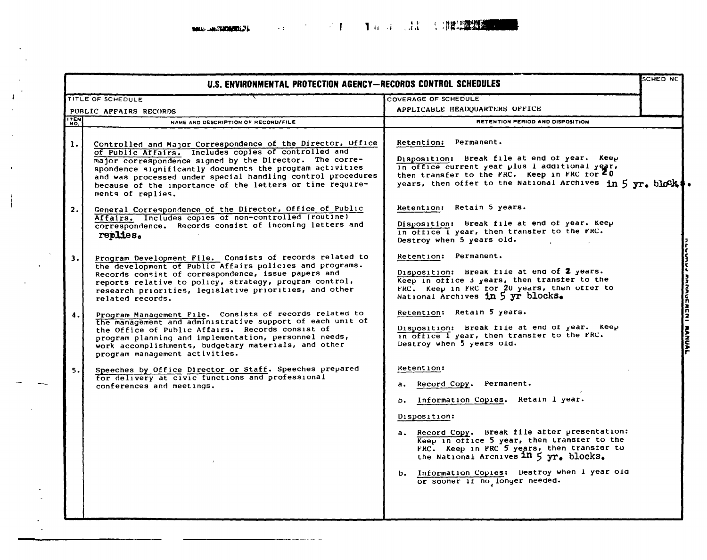**BARAS - AND THAT HE STATES AT A** 

 $\sim$ 

 $\sim$ 

| U.S. ENVIRONMENTAL PROTECTION AGENCY-RECORDS CONTROL SCHEDULES |                                                                                                                                                                                                                                                                                                                                                                                             | SCHED NC                                                                                                                                                                                                                                                                                                                                                                          |                   |
|----------------------------------------------------------------|---------------------------------------------------------------------------------------------------------------------------------------------------------------------------------------------------------------------------------------------------------------------------------------------------------------------------------------------------------------------------------------------|-----------------------------------------------------------------------------------------------------------------------------------------------------------------------------------------------------------------------------------------------------------------------------------------------------------------------------------------------------------------------------------|-------------------|
|                                                                | TITLE OF SCHEDULE                                                                                                                                                                                                                                                                                                                                                                           | COVERAGE OF SCHEDULE                                                                                                                                                                                                                                                                                                                                                              |                   |
|                                                                | PUBLIC AFFAIRS RECORDS                                                                                                                                                                                                                                                                                                                                                                      | APPLICABLE HEADQUARTERS OFFICE                                                                                                                                                                                                                                                                                                                                                    |                   |
| <b>ITEM</b>                                                    | NAME AND DESCRIPTION OF RECORD/FILE                                                                                                                                                                                                                                                                                                                                                         | RETENTION PERIOD AND DISPOSITION                                                                                                                                                                                                                                                                                                                                                  |                   |
| $\mathbf{1}$ .                                                 | Controlled and Major Correspondence of the Director, Office<br>of Public Affairs. Includes copies of controlled and<br>major correspondence signed by the Director. The corre-<br>spondence significantly documents the program activities<br>and was processed under special handling control procedures<br>because of the importance of the letters or time require-<br>ments of replies. | Retention: Permanent.<br>Disposition: Break file at end of year. Keep<br>in office current year plus i additional year,<br>then transfer to the FRC. Keep in FRC for $\overline{z}_0$<br>years, then offer to the National Archives in 5 yr. block                                                                                                                                |                   |
| 2.                                                             | General Correspondence of the Director, Office of Public<br>Affairs. Includes copies of non-controlled (routine)<br>correspondence. Records consist of incoming letters and<br>replies.                                                                                                                                                                                                     | Retention: Retain 5 years.<br>Disposition: Break file at end of year. Keep<br>in office I year, then transfer to the FRC.<br>Destroy when 5 years old.                                                                                                                                                                                                                            |                   |
| 3.1                                                            | Program Development File. Consists of records related to<br>the development of Public Affairs policies and programs.<br>Records consist of correspondence, issue papers and<br>reports relative to policy, strategy, program control,<br>research priorities, legislative priorities, and other<br>related records.                                                                         | Retention: Permanent.<br>Disposition: Break file at end of 2 years.<br>Keep in office J years, then transter to the<br>FRC. Keep in FRC for 20 years, then offer to<br>National Archives in 5 yr blocks.                                                                                                                                                                          | <b>MARAULALNI</b> |
| 4.                                                             | Program Management File. Consists of records related to<br>the management and administrative support of each unit of<br>the Office of Public Affairs. Records consist of<br>program planning and implementation, personnel needs,<br>work accomplishments, budgetary materials, and other<br>program management activities.                                                                 | Retention: Retain 5 years.<br>Disposition: Break file at end of year. Keep<br>in office I year, then transter to the FRC.<br>Destroy when 5 years old.                                                                                                                                                                                                                            | <b>AANAA</b>      |
| 5.                                                             | Speeches by Office Director or Staff. Speeches prepared<br>for delivery at civic functions and professional<br>conferences and meetings.                                                                                                                                                                                                                                                    | Retention:<br>Record Copy. Permanent.<br>а.<br>b. Information Copies. Retain 1 year.<br>Disposition:<br>a. Record Copy. Break file after presentation:<br>Keep in office 5 year, then transfer to the<br>FRC. Keep in FRC 5 years, then transfer to<br>the National Archives 1n 5 yr. blocks.<br>b. Information Copies: Destroy when I year old<br>or sooner if no longer needed. |                   |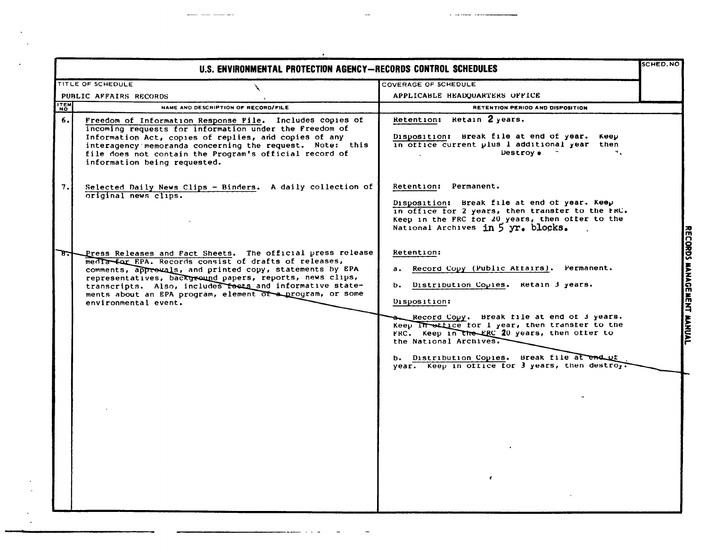|             | SCHED.NO<br>U.S. ENVIRONMENTAL PROTECTION AGENCY—RECORDS CONTROL SCHEDULES                                                                                                                                                                                                                                                                                                                   |                                                                                                                                                                                                                                                                                                                                                                                                                    |                           |
|-------------|----------------------------------------------------------------------------------------------------------------------------------------------------------------------------------------------------------------------------------------------------------------------------------------------------------------------------------------------------------------------------------------------|--------------------------------------------------------------------------------------------------------------------------------------------------------------------------------------------------------------------------------------------------------------------------------------------------------------------------------------------------------------------------------------------------------------------|---------------------------|
|             | TITLE OF SCHEDULE                                                                                                                                                                                                                                                                                                                                                                            | COVERAGE OF SCHEDULE                                                                                                                                                                                                                                                                                                                                                                                               |                           |
|             | PUBLIC AFFAIRS RECORDS                                                                                                                                                                                                                                                                                                                                                                       | APPLICABLE HEADQUARTERS OFFICE                                                                                                                                                                                                                                                                                                                                                                                     |                           |
| <b>ITEM</b> | NAME AND DESCRIPTION OF RECORD/FILE                                                                                                                                                                                                                                                                                                                                                          | RETENTION PERIOD AND DISPOSITION                                                                                                                                                                                                                                                                                                                                                                                   |                           |
| 6.1         | Freedom of Information Response File. Includes copies of<br>incoming requests for information under the Freedom of<br>Information Act, copies of replies, and copies of any<br>interagency memoranda concerning the request. Note: this<br>file does not contain the Program's official record of<br>information being requested.                                                            | Retention: Retain 2 years.<br>Disposition: Break file at end of year.<br>Keep<br>in office current plus 1 additional year then<br>Destroy .<br>٠.                                                                                                                                                                                                                                                                  |                           |
| 7.1         | Selected Daily News Clips - Binders. A daily collection of<br>original news clips.                                                                                                                                                                                                                                                                                                           | Retention: Permanent.<br>Disposition: Break file at end of year. Keep<br>in office for 2 years, then transfer to the FRC.<br>Keep in the FRC for 20 years, then offer to the<br>National Archives in 5 yr. blocks.                                                                                                                                                                                                 |                           |
|             | Press Releases and Fact Sheets. The official press release<br>media for EPA. Records consist of drafts of releases,<br>comments, approvals, and printed copy, statements by EPA<br>representatives, background papers, reports, news clips,<br>transcripts. Also, includes facts and informative state-<br>ments about an EPA program, element of a program, or some<br>environmental event. | Retention:<br>Record Copy (Public Attairs). Permanent.<br>а.<br>b. Distribution Copies. Retain 3 years.<br>Disposition:<br>Record Copy. Break file at end of 3 years.<br>Keep in other for I year, then transfer to the<br>FRC. Keep in the FRC 20 years, then offer to<br>the National Archives.<br>b. Distribution Copies. Break file at end of<br>year. Keep in office for 3 years, then destroy.<br>$\epsilon$ | RECORDS MANAGEMENT MANUAL |

بصباح المتبادية والرازية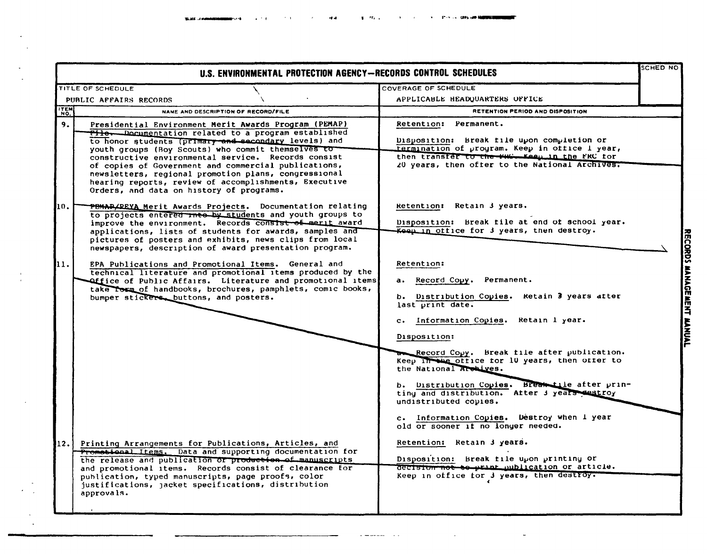$\sim 10^{11}$  km  $^{-1}$ 

 $\mathcal{L}^{\text{max}}_{\text{max}}$ 

 $\frac{1}{2} \left( \frac{1}{2} \right)$ 

|             | TITLE OF SCHEDULE                                                                                                                                                                                                                                                                                       | <b>COVERAGE OF SCHEDULE</b>                                                                                                            |  |
|-------------|---------------------------------------------------------------------------------------------------------------------------------------------------------------------------------------------------------------------------------------------------------------------------------------------------------|----------------------------------------------------------------------------------------------------------------------------------------|--|
|             | PUBLIC AFFAIRS RECORDS                                                                                                                                                                                                                                                                                  | APPLICABLE HEADQUARTERS OFFICE                                                                                                         |  |
| <b>ITEM</b> | NAME AND DESCRIPTION OF RECORD/FILE                                                                                                                                                                                                                                                                     | RETENTION PERIOD AND DISPOSITION                                                                                                       |  |
| 9.          | Presidential Environment Merit Awards Program (PEMAP)<br>Pile. Documentation related to a program established<br>to honor students (primary and secondary levels) and<br>youth groups (Boy Scouts) who commit themselves to                                                                             | Retention: Permanent.<br>Disposition: Break file upon completion or<br>termination of program. Keep in office I year,                  |  |
|             | constructive environmental service. Records consist<br>of copies of Government and commercial publications,<br>newsletters, regional promotion plans, congressional<br>hearing reports, review of accomplishments, Executive<br>Orders, and data on history of programs.                                | then transfer to the WW-Keep in the FRC for<br>20 years, then ofter to the National Archives.                                          |  |
| 10.         | PEMAR/PEYA Merit Awards Projects. Documentation relating                                                                                                                                                                                                                                                | Retention: Retain 3 years.                                                                                                             |  |
|             | to projects entered the by students and youth groups to<br>improve the environment. Records consist of merit award<br>applications, lists of students for awards, samples and<br>pictures of posters and exhibits, news clips from local                                                                | Disposition: Break file at end of school year.<br>Keep in office for 3 years, then destroy.                                            |  |
| 11.         | newspapers, description of award presentation program.<br>EPA Publications and Promotional Items. General and<br>technical literature and promotional items produced by the<br>Office of Public Affairs. Literature and promotional items<br>take rown of handbooks, brochures, pamphlets, comic books, | <b>Retention:</b><br>a. Record Copy.<br>Permanent.                                                                                     |  |
|             | bumper stickers, buttons, and posters.                                                                                                                                                                                                                                                                  | b. Distribution Copies. Retain 3 years atter<br>last print date.<br>c. Information Copies. Retain 1 year.                              |  |
|             |                                                                                                                                                                                                                                                                                                         | Disposition:                                                                                                                           |  |
|             |                                                                                                                                                                                                                                                                                                         | Record Copy. Break file after publication.<br>Keep in the office for 10 years, then offer to<br>the National Archives.                 |  |
|             |                                                                                                                                                                                                                                                                                                         | b. Distribution Copies. Break tile after prin-<br>ting and distribution. After 3 years destroy<br>undistributed copies.                |  |
|             |                                                                                                                                                                                                                                                                                                         | c. Information Copies. Destroy when I year<br>old or sooner if no longer needed.                                                       |  |
| 12.1        | Printing Arrangements for Publications, Articles, and<br>Promotional Items. Data and supporting documentation for                                                                                                                                                                                       | Retention: Retain 3 years.                                                                                                             |  |
|             | the release and publication or production of manuscripts<br>and promotional items. Records consist of clearance for<br>publication, typed manuscripts, page proofs, color<br>justifications, jacket specifications, distribution<br>approvals.                                                          | Disposition: Break file upon printing or<br>decision not to print oublication or article.<br>Keep in office for 3 years, then destroy. |  |

المستسلم المستنقل

the contract of the contract of the contract of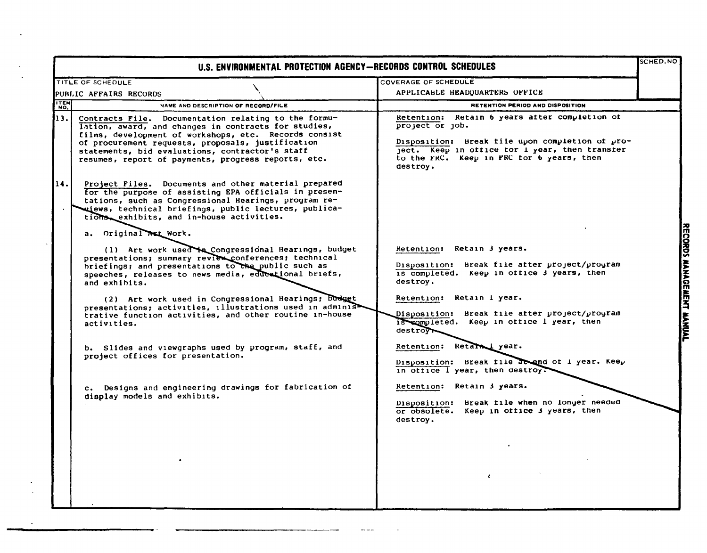|      | U.S. ENVIRONMENTAL PROTECTION AGENCY-RECORDS CONTROL SCHEDULES                                                                                                                                                                                                                                                                       |                                                                                                                                                                                                                                | <b>SCHED.NO</b>           |
|------|--------------------------------------------------------------------------------------------------------------------------------------------------------------------------------------------------------------------------------------------------------------------------------------------------------------------------------------|--------------------------------------------------------------------------------------------------------------------------------------------------------------------------------------------------------------------------------|---------------------------|
|      | TITLE OF SCHEDULE                                                                                                                                                                                                                                                                                                                    | COVERAGE OF SCHEDULE                                                                                                                                                                                                           |                           |
|      | PUBLIC AFFAIRS RECORDS                                                                                                                                                                                                                                                                                                               | APPLICABLE HEADQUARTERS OFFICE                                                                                                                                                                                                 |                           |
| ITEM | NAME AND DESCRIPTION OF RECORD/FILE                                                                                                                                                                                                                                                                                                  | RETENTION PERIOD AND DISPOSITION                                                                                                                                                                                               |                           |
| 13.1 | Contracts File. Documentation relating to the formu-<br>lation, award, and changes in contracts for studies,<br>films, development of workshops, etc. Records consist<br>of procurement requests, proposals, justification<br>statements, bid evaluations, contractor's staff<br>resumes, report of payments, progress reports, etc. | Retention: Retain 6 years after completion of<br>project or job.<br>Disposition: Break file upon completion of pro-<br>ject. Keep in office for I year, then transfer<br>to the FRC. Keep in FRC for 6 years, then<br>destroy. |                           |
| 14.  | Project Files. Documents and other material prepared<br>for the purpose of assisting EPA officials in presen-<br>tations, such as Congressional Hearings, program re-<br>ujews, technical briefings, public lectures, publica-<br>tions exhibits, and in-house activities.                                                           |                                                                                                                                                                                                                                |                           |
|      | a. Original ALL Work.                                                                                                                                                                                                                                                                                                                |                                                                                                                                                                                                                                |                           |
|      | (1) Art work used to Congressional Hearings, budget<br>presentations; summary review conferences; technical<br>briefings; and presentations to the public such as<br>speeches, releases to news media, educational briefs,<br>and exhibits.                                                                                          | Retention: Retain 3 years.<br>Disposition: Break file after project/program<br>is completed. Keep in office 3 years, then<br>destroy.                                                                                          |                           |
|      | (2) Art work used in Congressional Hearings; Dudget<br>presentations; activities, illustrations used in adminis<br>trative function activities, and other routine in-house<br>activities.                                                                                                                                            | Retention: Retain 1 year.<br>Disposition: Break file after project/program<br>is completed. Keep in office I year, then<br>destr <sub>oy</sub>                                                                                 | RECORDS MANAGEMENT MANUAL |
|      | b. Slides and viewgraphs used by program, staff, and<br>project offices for presentation.                                                                                                                                                                                                                                            | Retention: Retain year.<br>Disposition: Break file at and of I year. Keep<br>in office I year, then destroy.                                                                                                                   |                           |
|      | c. Designs and engineering drawings for fabrication of<br>display models and exhibits.                                                                                                                                                                                                                                               | Retention: Retain 3 years.<br>Disposition: Break file when no longer needed<br>or obsolete. Keep in office 3 years, then<br>destroy.                                                                                           |                           |
|      |                                                                                                                                                                                                                                                                                                                                      | $\epsilon$                                                                                                                                                                                                                     |                           |

 $\sim$  $\bar{\phantom{a}}$ 

 $\mathbf{r}$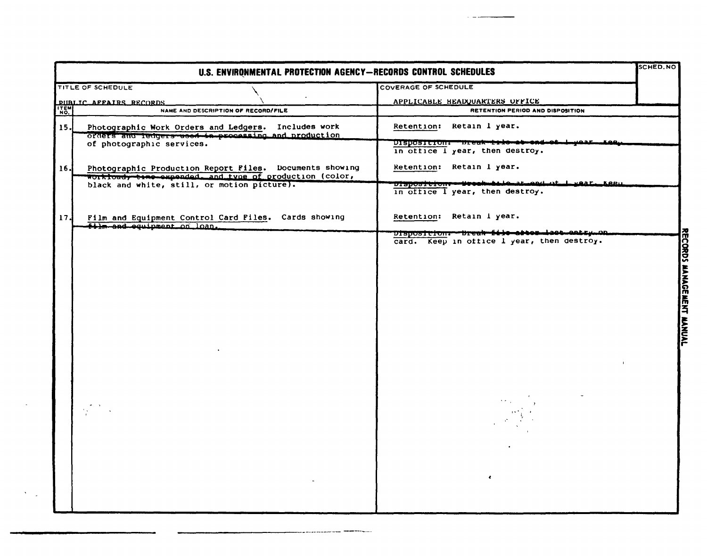| U.S. ENVIRONMENTAL PROTECTION AGENCY-RECORDS CONTROL SCHEDULES |                                                                                                                    |                                                                                            |                                 |
|----------------------------------------------------------------|--------------------------------------------------------------------------------------------------------------------|--------------------------------------------------------------------------------------------|---------------------------------|
|                                                                | TITLE OF SCHEDULE                                                                                                  | <b>COVERAGE OF SCHEDULE</b>                                                                |                                 |
|                                                                | <b>PIIBLIC AFFAIRS RECORDS</b>                                                                                     | APPLICABLE HEADQUARTERS OFFICE                                                             |                                 |
| ITEM                                                           | NAME AND DESCRIPTION OF RECORD/FILE                                                                                | RETENTION PERIOD AND DISPOSITION                                                           |                                 |
| 15.                                                            | Photographic Work Orders and Ledgers. Includes work<br>orders and ledgers used in processing and production        | Retention: Retain 1 year.                                                                  |                                 |
|                                                                | of photographic services.                                                                                          | DISDOSILION: Dreak tito at ond of t<br>in office i year, then destroy.                     |                                 |
| 16J                                                            | Photographic Production Report Files. Documents showing<br>workfoad, time-expended, and type of production (color, | Retention: Retain 1 year.                                                                  |                                 |
|                                                                | black and white, still, or motion picture).                                                                        | DISpositions-Weesk-Alle at each of 1 year. Keen<br>in office I year, then destroy.         |                                 |
| 17.                                                            | Film and Equipment Control Card Files. Cards showing<br>tilm and equipment on loan.                                | Retention: Retain i year.                                                                  |                                 |
|                                                                |                                                                                                                    | Disposition:--Break-file-atten-last-antry-an<br>card. Keep in office I year, then destroy. | K                               |
|                                                                |                                                                                                                    |                                                                                            | <b>ORDS</b><br>MANAGE<br>ř<br>3 |
|                                                                |                                                                                                                    | $\bullet$                                                                                  |                                 |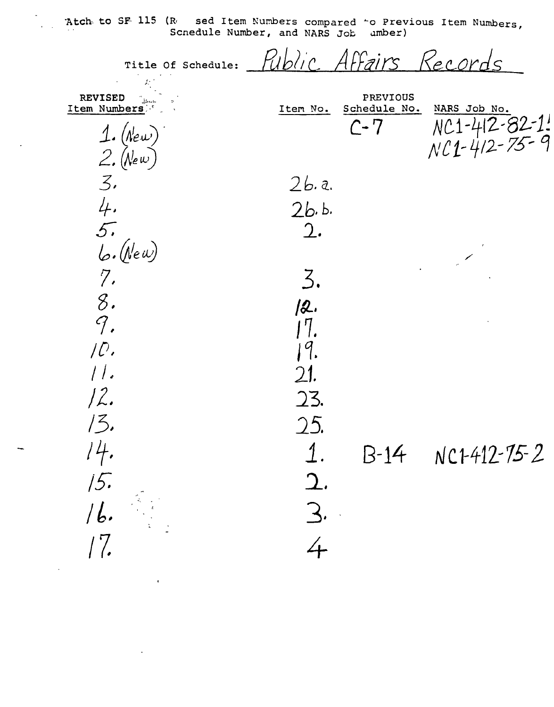Atch to SF 115 (R sed Item Numbers compared 'o Previous Item Numbers, Scnedule Number, and NARS Job  $umber)$ 

Affairs Records Title Of Schedule: **REVISED** PREVIOUS Item Numbers Schedule No. Item No. NARS Job No. NC1-412-82-1!<br>NC1-412-75-9  $C - 7$ 1. (New)<br>2. (New)  $\mathcal{Z}$  $2b.a.$  $\frac{4}{5}$  $2b. b.$  $2.$  $b.$  (New)  $7.$ 3. 8.  $/2.$  $\mathcal{G}.$  $17.$  $\overline{\mathcal{L}}$ . 9.  $11.$  $\mathfrak{D}$ 1.  $12.$ 23.  $13.$ 25.  $14.$  $\overline{1}$ .  $B-14$   $NCH412-75-2$  $\mathfrak{D}.$ 15. 3. 16.  $/7.$ 4